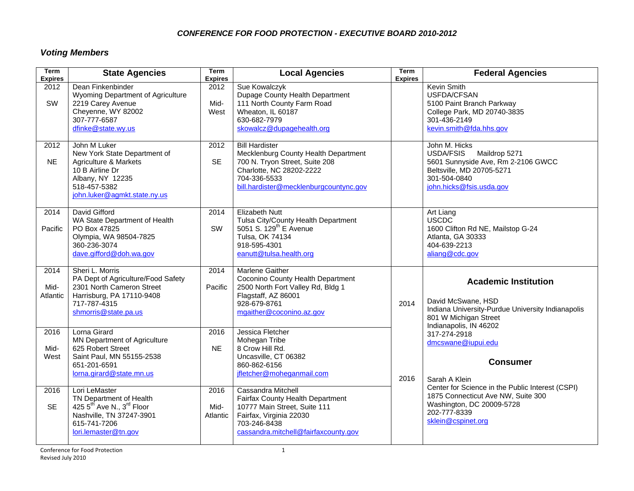# *Voting Members*

| <b>Term</b><br><b>Expires</b> | <b>State Agencies</b>                                                                                                                                             | Term<br><b>Expires</b>   | <b>Local Agencies</b>                                                                                                                                                                 | <b>Term</b><br><b>Expires</b> | <b>Federal Agencies</b>                                                                                                                                                                                                             |
|-------------------------------|-------------------------------------------------------------------------------------------------------------------------------------------------------------------|--------------------------|---------------------------------------------------------------------------------------------------------------------------------------------------------------------------------------|-------------------------------|-------------------------------------------------------------------------------------------------------------------------------------------------------------------------------------------------------------------------------------|
| 2012<br>SW                    | Dean Finkenbinder<br>Wyoming Department of Agriculture<br>2219 Carey Avenue<br>Cheyenne, WY 82002<br>307-777-6587<br>dfinke@state.wy.us                           | 2012<br>Mid-<br>West     | Sue Kowalczyk<br>Dupage County Health Department<br>111 North County Farm Road<br>Wheaton, IL 60187<br>630-682-7979<br>skowalcz@dupagehealth.org                                      |                               | Kevin Smith<br>USFDA/CFSAN<br>5100 Paint Branch Parkway<br>College Park, MD 20740-3835<br>301-436-2149<br>kevin.smith@fda.hhs.gov                                                                                                   |
| 2012<br><b>NE</b>             | John M Luker<br>New York State Department of<br>Agriculture & Markets<br>10 B Airline Dr<br>Albany, NY 12235<br>518-457-5382<br>john.luker@agmkt.state.ny.us      | 2012<br><b>SE</b>        | <b>Bill Hardister</b><br>Mecklenburg County Health Department<br>700 N. Tryon Street, Suite 208<br>Charlotte, NC 28202-2222<br>704-336-5533<br>bill.hardister@mecklenburgcountync.gov |                               | John M. Hicks<br>USDA/FSIS<br>Maildrop 5271<br>5601 Sunnyside Ave, Rm 2-2106 GWCC<br>Beltsville, MD 20705-5271<br>301-504-0840<br>john.hicks@fsis.usda.gov                                                                          |
| 2014<br>Pacific               | David Gifford<br>WA State Department of Health<br>PO Box 47825<br>Olympia, WA 98504-7825<br>360-236-3074<br>dave.gifford@doh.wa.gov                               | 2014<br>SW               | <b>Elizabeth Nutt</b><br>Tulsa City/County Health Department<br>5051 S. 129 <sup>th</sup> E Avenue<br>Tulsa, OK 74134<br>918-595-4301<br>eanutt@tulsa.health.org                      |                               | Art Liang<br>USCDC<br>1600 Clifton Rd NE, Mailstop G-24<br>Atlanta, GA 30333<br>404-639-2213<br>aliang@cdc.gov                                                                                                                      |
| 2014<br>Mid-<br>Atlantic      | Sheri L. Morris<br>PA Dept of Agriculture/Food Safety<br>2301 North Cameron Street<br>Harrisburg, PA 17110-9408<br>717-787-4315<br>shmorris@state.pa.us           | 2014<br>Pacific          | <b>Marlene Gaither</b><br>Coconino County Health Department<br>2500 North Fort Valley Rd, Bldg 1<br>Flagstaff, AZ 86001<br>928-679-8761<br>mgaither@coconino.az.gov                   | 2014                          | <b>Academic Institution</b><br>David McSwane, HSD<br>Indiana University-Purdue University Indianapolis<br>801 W Michigan Street<br>Indianapolis, IN 46202                                                                           |
| 2016<br>Mid-<br>West          | Lorna Girard<br><b>MN Department of Agriculture</b><br>625 Robert Street<br>Saint Paul, MN 55155-2538<br>651-201-6591<br>lorna.girard@state.mn.us                 | 2016<br><b>NE</b>        | Jessica Fletcher<br>Mohegan Tribe<br>8 Crow Hill Rd.<br>Uncasville, CT 06382<br>860-862-6156<br>jfletcher@moheganmail.com                                                             | 2016                          | 317-274-2918<br>dmcswane@iupui.edu<br><b>Consumer</b><br>Sarah A Klein<br>Center for Science in the Public Interest (CSPI)<br>1875 Connecticut Ave NW, Suite 300<br>Washington, DC 20009-5728<br>202-777-8339<br>sklein@cspinet.org |
| 2016<br><b>SE</b>             | Lori LeMaster<br>TN Department of Health<br>425 5 <sup>th</sup> Ave N., 3 <sup>rd</sup> Floor<br>Nashville, TN 37247-3901<br>615-741-7206<br>lori.lemaster@tn.gov | 2016<br>Mid-<br>Atlantic | Cassandra Mitchell<br>Fairfax County Health Department<br>10777 Main Street, Suite 111<br>Fairfax, Virginia 22030<br>703-246-8438<br>cassandra.mitchell@fairfaxcounty.gov             |                               |                                                                                                                                                                                                                                     |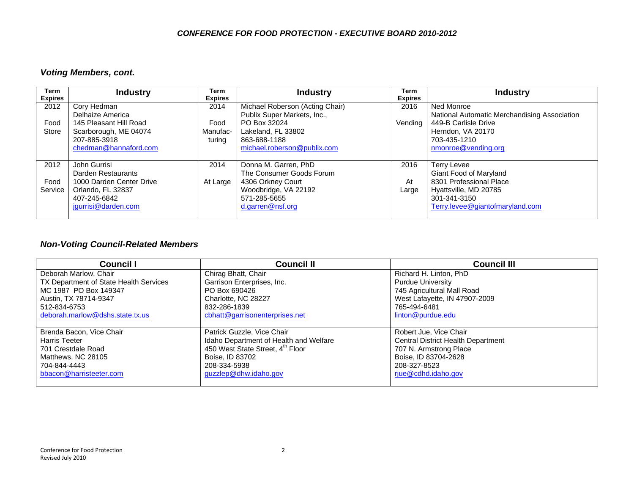### *Voting Members, cont.*

| Term<br><b>Expires</b> | <b>Industry</b>          | Term<br><b>Expires</b> | <b>Industry</b>                 | Term<br><b>Expires</b> | <b>Industry</b>                              |
|------------------------|--------------------------|------------------------|---------------------------------|------------------------|----------------------------------------------|
| 2012                   | Cory Hedman              | 2014                   | Michael Roberson (Acting Chair) | 2016                   | Ned Monroe                                   |
|                        | Delhaize America         |                        | Publix Super Markets, Inc.,     |                        | National Automatic Merchandising Association |
| Food                   | 145 Pleasant Hill Road   | Food                   | PO Box 32024                    | Vending                | 449-B Carlisle Drive                         |
| Store                  | Scarborough, ME 04074    | Manufac-               | Lakeland, FL 33802              |                        | Herndon, VA 20170                            |
|                        | 207-885-3918             | turina                 | 863-688-1188                    |                        | 703-435-1210                                 |
|                        | chedman@hannaford.com    |                        | michael.roberson@publix.com     |                        | nmonroe@vending.org                          |
|                        |                          |                        |                                 |                        |                                              |
| 2012                   | John Gurrisi             | 2014                   | Donna M. Garren, PhD            | 2016                   | Terry Levee                                  |
|                        | Darden Restaurants       |                        | The Consumer Goods Forum        |                        | Giant Food of Maryland                       |
| Food                   | 1000 Darden Center Drive | At Large               | 4306 Orkney Court               | At                     | 8301 Professional Place                      |
| Service                | Orlando, FL 32837        |                        | Woodbridge, VA 22192            | Large                  | Hyattsville, MD 20785                        |
|                        | 407-245-6842             |                        | 571-285-5655                    |                        | 301-341-3150                                 |
|                        | jgurrisi@darden.com      |                        | d.garren@nsf.org                |                        | Terry.levee@giantofmaryland.com              |
|                        |                          |                        |                                 |                        |                                              |

### *Non-Voting Council-Related Members*

| <b>Council I</b>                       | <b>Council II</b>                      | <b>Council III</b>                        |
|----------------------------------------|----------------------------------------|-------------------------------------------|
| Deborah Marlow, Chair                  | Chirag Bhatt, Chair                    | Richard H. Linton, PhD                    |
| TX Department of State Health Services | Garrison Enterprises, Inc.             | <b>Purdue University</b>                  |
| MC 1987 PO Box 149347                  | PO Box 690426                          | 745 Agricultural Mall Road                |
| Austin, TX 78714-9347                  | Charlotte, NC 28227                    | West Lafayette, IN 47907-2009             |
| 512-834-6753                           | 832-286-1839                           | 765-494-6481                              |
| deborah.marlow@dshs.state.tx.us        | cbhatt@garrisonenterprises.net         | linton@purdue.edu                         |
|                                        |                                        |                                           |
| Brenda Bacon, Vice Chair               | Patrick Guzzle, Vice Chair             | Robert Jue, Vice Chair                    |
| <b>Harris Teeter</b>                   | Idaho Department of Health and Welfare | <b>Central District Health Department</b> |
| 701 Crestdale Road                     | 450 West State Street, 4th Floor       | 707 N. Armstrong Place                    |
| Matthews, NC 28105                     | Boise, ID 83702                        | Boise, ID 83704-2628                      |
| 704-844-4443                           | 208-334-5938                           | 208-327-8523                              |
| bbacon@harristeeter.com                | guzzlep@dhw.idaho.gov                  | riue@cdhd.idaho.gov                       |
|                                        |                                        |                                           |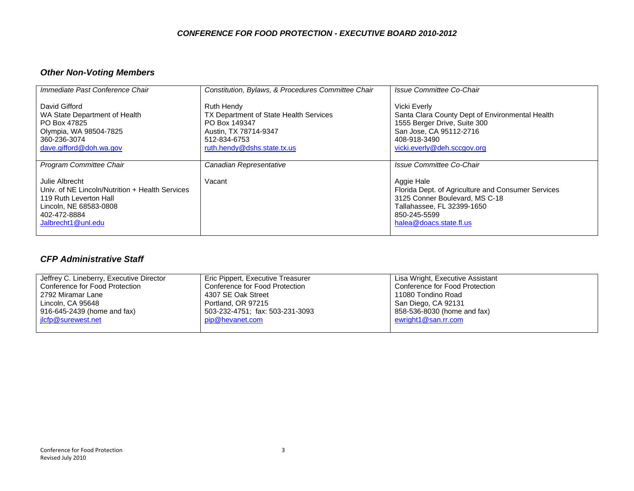# *Other Non-Voting Members*

| Immediate Past Conference Chair                                                                                                                             | Constitution, Bylaws, & Procedures Committee Chair                                                                                                   | Issue Committee Co-Chair                                                                                                                                                    |
|-------------------------------------------------------------------------------------------------------------------------------------------------------------|------------------------------------------------------------------------------------------------------------------------------------------------------|-----------------------------------------------------------------------------------------------------------------------------------------------------------------------------|
| David Gifford<br>WA State Department of Health<br>PO Box 47825<br>Olympia, WA 98504-7825<br>360-236-3074<br>dave.gifford@doh.wa.gov                         | <b>Ruth Hendy</b><br>TX Department of State Health Services<br>PO Box 149347<br>Austin, TX 78714-9347<br>512-834-6753<br>ruth.hendy@dshs.state.tx.us | Vicki Everly<br>Santa Clara County Dept of Environmental Health<br>1555 Berger Drive, Suite 300<br>San Jose, CA 95112-2716<br>408-918-3490<br>vicki.everly@deh.sccgov.org   |
| <b>Program Committee Chair</b>                                                                                                                              | Canadian Representative                                                                                                                              | Issue Committee Co-Chair                                                                                                                                                    |
| Julie Albrecht<br>Univ. of NE Lincoln/Nutrition + Health Services<br>119 Ruth Leverton Hall<br>Lincoln, NE 68583-0808<br>402-472-8884<br>Jalbrecht1@unl.edu | Vacant                                                                                                                                               | Aggie Hale<br>Florida Dept. of Agriculture and Consumer Services<br>3125 Conner Boulevard, MS C-18<br>Tallahassee, FL 32399-1650<br>850-245-5599<br>halea@doacs.state.fl.us |

#### *CFP Administrative Staff*

| Jeffrey C. Lineberry, Executive Director | Eric Pippert, Executive Treasurer | Lisa Wright, Executive Assistant |
|------------------------------------------|-----------------------------------|----------------------------------|
| Conference for Food Protection           | Conference for Food Protection    | l Conference for Food Protection |
| 2792 Miramar Lane                        | 4307 SE Oak Street                | 11080 Tondino Road               |
| Lincoln, CA 95648                        | Portland, OR 97215                | San Diego, CA 92131              |
| 916-645-2439 (home and fax)              | 503-232-4751; fax: 503-231-3093   | 858-536-8030 (home and fax)      |
| jlcfp@surewest.net                       | pip@hevanet.com                   | ewright1 $@$ san.rr.com          |
|                                          |                                   |                                  |